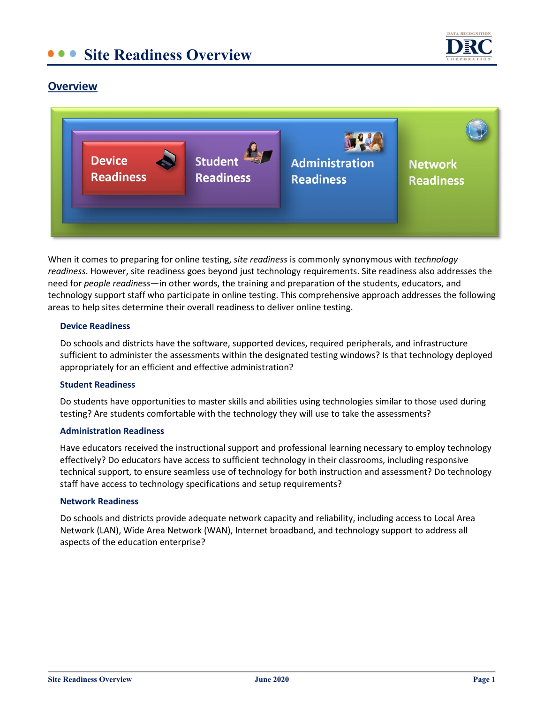## **Site Readiness Overview**



### **Overview**



When it comes to preparing for online testing, *site readiness* is commonly synonymous with *technology readiness*. However, site readiness goes beyond just technology requirements. Site readiness also addresses the need for *people readiness*—in other words, the training and preparation of the students, educators, and technology support staff who participate in online testing. This comprehensive approach addresses the following areas to help sites determine their overall readiness to deliver online testing.

#### **Device Readiness**

Do schools and districts have the software, supported devices, required peripherals, and infrastructure sufficient to administer the assessments within the designated testing windows? Is that technology deployed appropriately for an efficient and effective administration?

#### **Student Readiness**

Do students have opportunities to master skills and abilities using technologies similar to those used during testing? Are students comfortable with the technology they will use to take the assessments?

#### **Administration Readiness**

Have educators received the instructional support and professional learning necessary to employ technology effectively? Do educators have access to sufficient technology in their classrooms, including responsive technical support, to ensure seamless use of technology for both instruction and assessment? Do technology staff have access to technology specifications and setup requirements?

#### **Network Readiness**

Do schools and districts provide adequate network capacity and reliability, including access to Local Area Network (LAN), Wide Area Network (WAN), Internet broadband, and technology support to address all aspects of the education enterprise?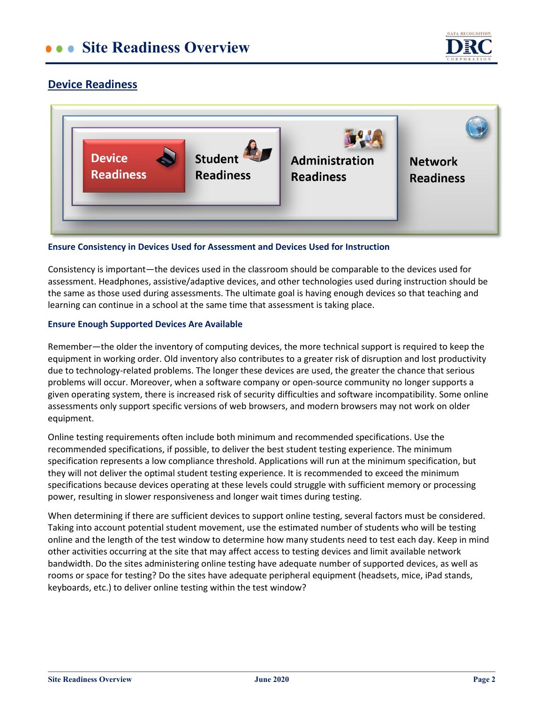# **CONSTRERGEDIE BEE AT SITE ASSESS**



### **Device Readiness**



#### **Ensure Consistency in Devices Used for Assessment and Devices Used for Instruction**

Consistency is important—the devices used in the classroom should be comparable to the devices used for assessment. Headphones, assistive/adaptive devices, and other technologies used during instruction should be the same as those used during assessments. The ultimate goal is having enough devices so that teaching and learning can continue in a school at the same time that assessment is taking place.

#### **Ensure Enough Supported Devices Are Available**

Remember—the older the inventory of computing devices, the more technical support is required to keep the equipment in working order. Old inventory also contributes to a greater risk of disruption and lost productivity due to technology-related problems. The longer these devices are used, the greater the chance that serious problems will occur. Moreover, when a software company or open-source community no longer supports a given operating system, there is increased risk of security difficulties and software incompatibility. Some online assessments only support specific versions of web browsers, and modern browsers may not work on older equipment.

Online testing requirements often include both minimum and recommended specifications. Use the recommended specifications, if possible, to deliver the best student testing experience. The minimum specification represents a low compliance threshold. Applications will run at the minimum specification, but they will not deliver the optimal student testing experience. It is recommended to exceed the minimum specifications because devices operating at these levels could struggle with sufficient memory or processing power, resulting in slower responsiveness and longer wait times during testing.

When determining if there are sufficient devices to support online testing, several factors must be considered. Taking into account potential student movement, use the estimated number of students who will be testing online and the length of the test window to determine how many students need to test each day. Keep in mind other activities occurring at the site that may affect access to testing devices and limit available network bandwidth. Do the sites administering online testing have adequate number of supported devices, as well as rooms or space for testing? Do the sites have adequate peripheral equipment (headsets, mice, iPad stands, keyboards, etc.) to deliver online testing within the test window?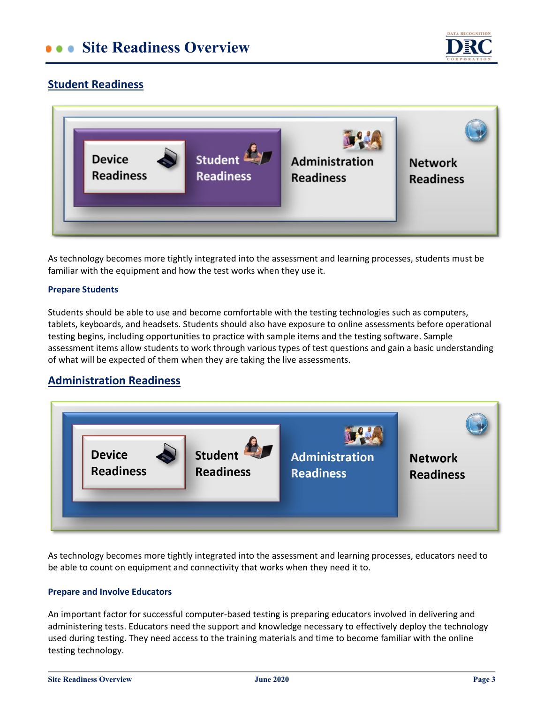# **Collective Site Readiness Overview**



## **Student Readiness**



As technology becomes more tightly integrated into the assessment and learning processes, students must be familiar with the equipment and how the test works when they use it.

#### **Prepare Students**

Students should be able to use and become comfortable with the testing technologies such as computers, tablets, keyboards, and headsets. Students should also have exposure to online assessments before operational testing begins, including opportunities to practice with sample items and the testing software. Sample assessment items allow students to work through various types of test questions and gain a basic understanding of what will be expected of them when they are taking the live assessments.

### **Administration Readiness**



As technology becomes more tightly integrated into the assessment and learning processes, educators need to be able to count on equipment and connectivity that works when they need it to.

#### **Prepare and Involve Educators**

An important factor for successful computer-based testing is preparing educators involved in delivering and administering tests. Educators need the support and knowledge necessary to effectively deploy the technology used during testing. They need access to the training materials and time to become familiar with the online testing technology.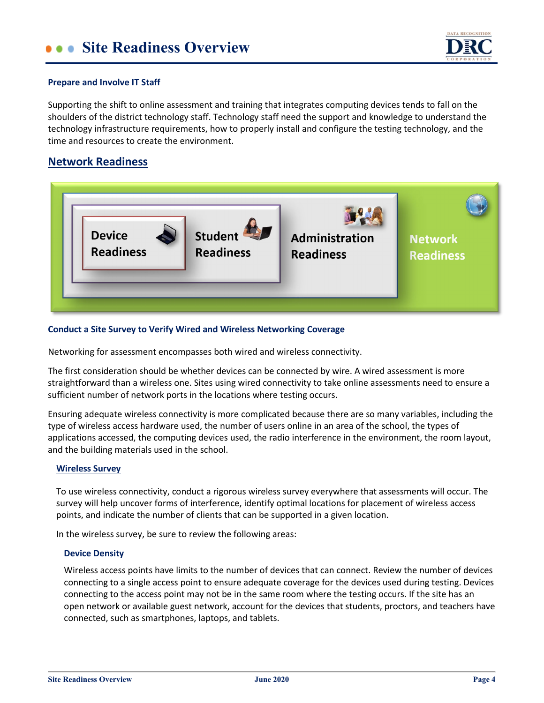

#### **Prepare and Involve IT Staff**

Supporting the shift to online assessment and training that integrates computing devices tends to fall on the shoulders of the district technology staff. Technology staff need the support and knowledge to understand the technology infrastructure requirements, how to properly install and configure the testing technology, and the time and resources to create the environment.

### **Network Readiness**



#### **Conduct a Site Survey to Verify Wired and Wireless Networking Coverage**

Networking for assessment encompasses both wired and wireless connectivity.

The first consideration should be whether devices can be connected by wire. A wired assessment is more straightforward than a wireless one. Sites using wired connectivity to take online assessments need to ensure a sufficient number of network ports in the locations where testing occurs.

Ensuring adequate wireless connectivity is more complicated because there are so many variables, including the type of wireless access hardware used, the number of users online in an area of the school, the types of applications accessed, the computing devices used, the radio interference in the environment, the room layout, and the building materials used in the school.

#### **Wireless Survey**

To use wireless connectivity, conduct a rigorous wireless survey everywhere that assessments will occur. The survey will help uncover forms of interference, identify optimal locations for placement of wireless access points, and indicate the number of clients that can be supported in a given location.

In the wireless survey, be sure to review the following areas:

#### **Device Density**

Wireless access points have limits to the number of devices that can connect. Review the number of devices connecting to a single access point to ensure adequate coverage for the devices used during testing. Devices connecting to the access point may not be in the same room where the testing occurs. If the site has an open network or available guest network, account for the devices that students, proctors, and teachers have connected, such as smartphones, laptops, and tablets.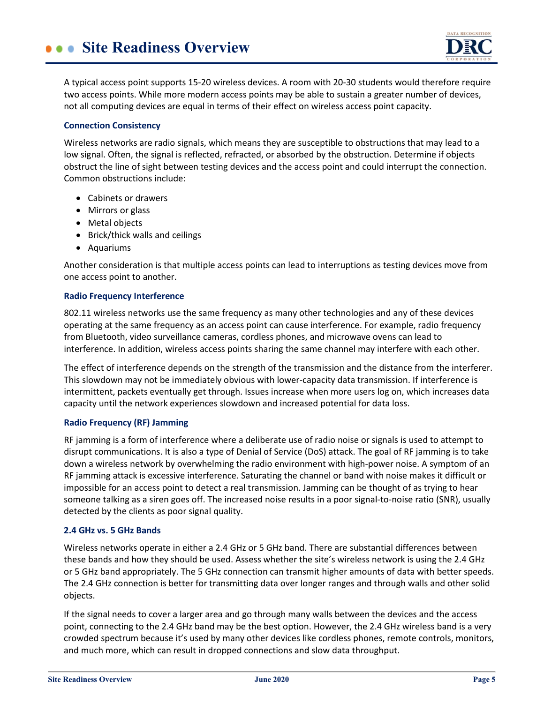

A typical access point supports 15-20 wireless devices. A room with 20-30 students would therefore require two access points. While more modern access points may be able to sustain a greater number of devices, not all computing devices are equal in terms of their effect on wireless access point capacity.

#### **Connection Consistency**

Wireless networks are radio signals, which means they are susceptible to obstructions that may lead to a low signal. Often, the signal is reflected, refracted, or absorbed by the obstruction. Determine if objects obstruct the line of sight between testing devices and the access point and could interrupt the connection. Common obstructions include:

- Cabinets or drawers
- Mirrors or glass
- Metal objects
- Brick/thick walls and ceilings
- Aquariums

Another consideration is that multiple access points can lead to interruptions as testing devices move from one access point to another.

#### **Radio Frequency Interference**

802.11 wireless networks use the same frequency as many other technologies and any of these devices operating at the same frequency as an access point can cause interference. For example, radio frequency from Bluetooth, video surveillance cameras, cordless phones, and microwave ovens can lead to interference. In addition, wireless access points sharing the same channel may interfere with each other.

The effect of interference depends on the strength of the transmission and the distance from the interferer. This slowdown may not be immediately obvious with lower-capacity data transmission. If interference is intermittent, packets eventually get through. Issues increase when more users log on, which increases data capacity until the network experiences slowdown and increased potential for data loss.

#### **Radio Frequency (RF) Jamming**

RF jamming is a form of interference where a deliberate use of radio noise or signals is used to attempt to disrupt communications. It is also a type of Denial of Service (DoS) attack. The goal of RF jamming is to take down a wireless network by overwhelming the radio environment with high-power noise. A symptom of an RF jamming attack is excessive interference. Saturating the channel or band with noise makes it difficult or impossible for an access point to detect a real transmission. Jamming can be thought of as trying to hear someone talking as a siren goes off. The increased noise results in a poor signal-to-noise ratio (SNR), usually detected by the clients as poor signal quality.

#### **2.4 GHz vs. 5 GHz Bands**

Wireless networks operate in either a 2.4 GHz or 5 GHz band. There are substantial differences between these bands and how they should be used. Assess whether the site's wireless network is using the 2.4 GHz or 5 GHz band appropriately. The 5 GHz connection can transmit higher amounts of data with better speeds. The 2.4 GHz connection is better for transmitting data over longer ranges and through walls and other solid objects.

If the signal needs to cover a larger area and go through many walls between the devices and the access point, connecting to the 2.4 GHz band may be the best option. However, the 2.4 GHz wireless band is a very crowded spectrum because it's used by many other devices like cordless phones, remote controls, monitors, and much more, which can result in dropped connections and slow data throughput.